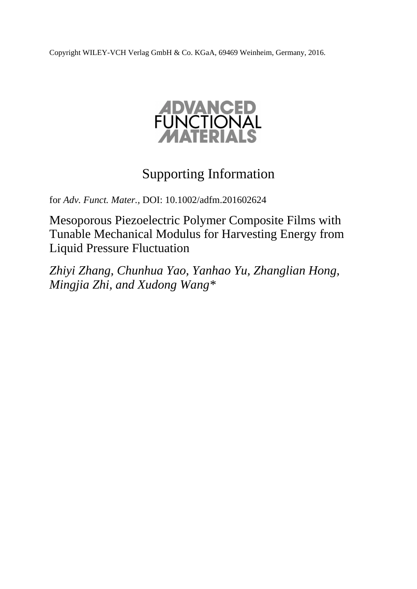Copyright WILEY-VCH Verlag GmbH & Co. KGaA, 69469 Weinheim, Germany, 2016.



## Supporting Information

for *Adv. Funct. Mater.,* DOI: 10.1002/adfm.201602624

Mesoporous Piezoelectric Polymer Composite Films with Tunable Mechanical Modulus for Harvesting Energy from Liquid Pressure Fluctuation

*Zhiyi Zhang, Chunhua Yao, Yanhao Yu, Zhanglian Hong, Mingjia Zhi, and Xudong Wang\**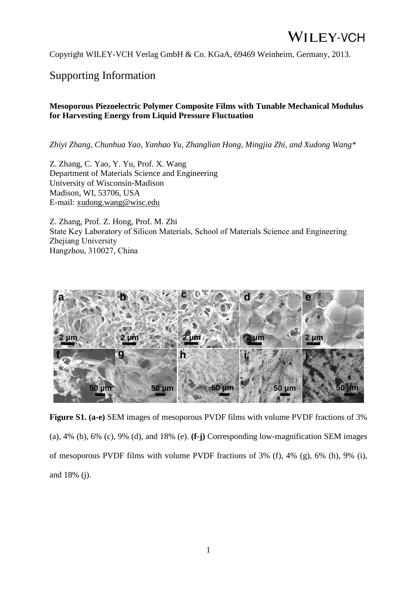Copyright WILEY-VCH Verlag GmbH & Co. KGaA, 69469 Weinheim, Germany, 2013.

#### Supporting Information

#### **Mesoporous Piezoelectric Polymer Composite Films with Tunable Mechanical Modulus for Harvesting Energy from Liquid Pressure Fluctuation**

*Zhiyi Zhang, Chunhua Yao, Yanhao Yu, Zhanglian Hong, Mingjia Zhi, and Xudong Wang\**

Z. Zhang, C. Yao, Y. Yu, Prof. X. Wang Department of Materials Science and Engineering University of Wisconsin-Madison Madison, WI, 53706, USA E-mail: [xudong.wang@wisc.edu](mailto:xudong.wang@wisc.edu)

Z. Zhang, Prof. Z. Hong, Prof. M. Zhi State Key Laboratory of Silicon Materials, School of Materials Science and Engineering Zhejiang University Hangzhou, 310027, China



**Figure S1. (a-e)** SEM images of mesoporous PVDF films with volume PVDF fractions of 3% (a), 4% (b), 6% (c), 9% (d), and 18% (e). **(f-j)** Corresponding low-magnification SEM images of mesoporous PVDF films with volume PVDF fractions of 3% (f), 4% (g), 6% (h), 9% (i), and 18% (j).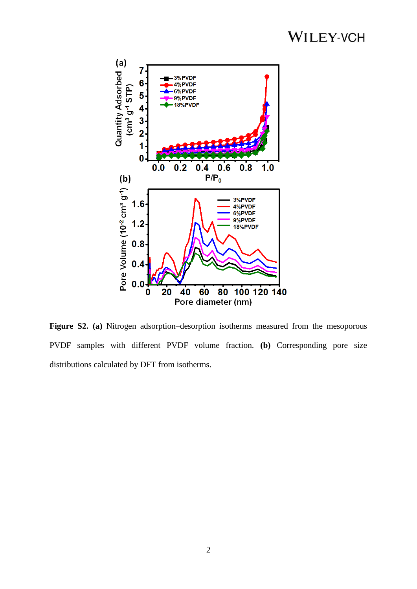

**Figure S2.** (a) Nitrogen adsorption–desorption isotherms measured from the mesoporous PVDF samples with different PVDF volume fraction. **(b)** Corresponding pore size distributions calculated by DFT from isotherms.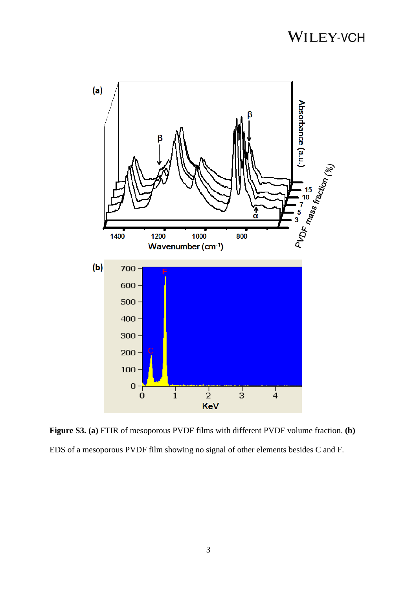

**Figure S3. (a)** FTIR of mesoporous PVDF films with different PVDF volume fraction. **(b)** EDS of a mesoporous PVDF film showing no signal of other elements besides C and F.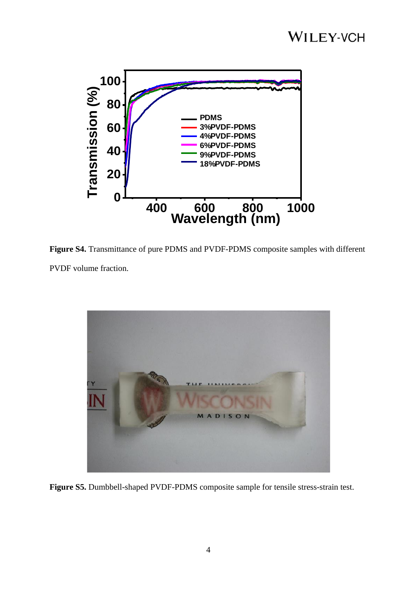

**Figure S4.** Transmittance of pure PDMS and PVDF-PDMS composite samples with different PVDF volume fraction.



**Figure S5.** Dumbbell-shaped PVDF-PDMS composite sample for tensile stress-strain test.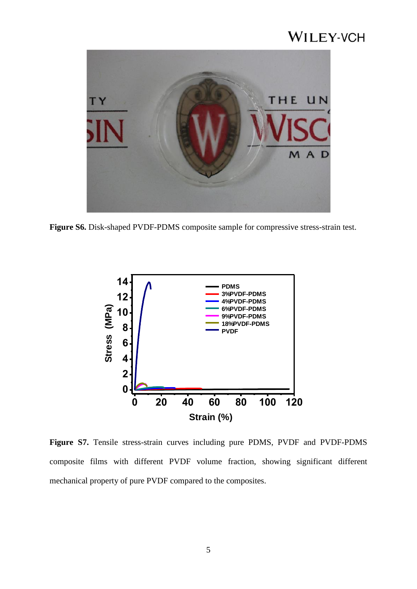

**Figure S6.** Disk-shaped PVDF-PDMS composite sample for compressive stress-strain test.



**Figure S7.** Tensile stress-strain curves including pure PDMS, PVDF and PVDF-PDMS composite films with different PVDF volume fraction, showing significant different mechanical property of pure PVDF compared to the composites.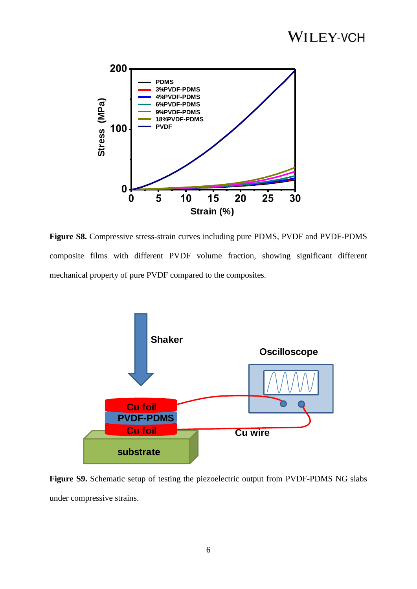

**Figure S8.** Compressive stress-strain curves including pure PDMS, PVDF and PVDF-PDMS composite films with different PVDF volume fraction, showing significant different mechanical property of pure PVDF compared to the composites.



**Figure S9.** Schematic setup of testing the piezoelectric output from PVDF-PDMS NG slabs under compressive strains.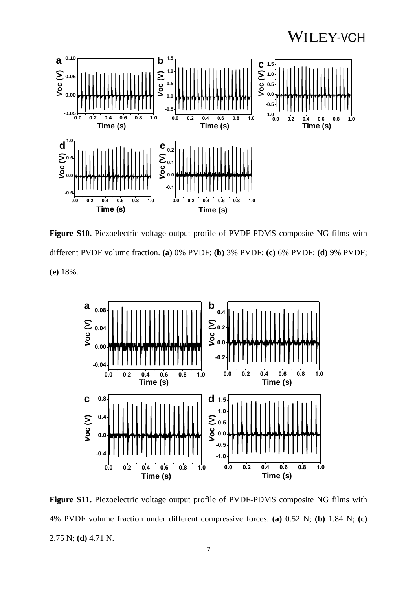

**Figure S10.** Piezoelectric voltage output profile of PVDF-PDMS composite NG films with different PVDF volume fraction. **(a)** 0% PVDF; **(b)** 3% PVDF; **(c)** 6% PVDF; **(d)** 9% PVDF; **(e)** 18%.



**Figure S11.** Piezoelectric voltage output profile of PVDF-PDMS composite NG films with 4% PVDF volume fraction under different compressive forces. **(a)** 0.52 N; **(b)** 1.84 N; **(c)** 2.75 N; **(d)** 4.71 N.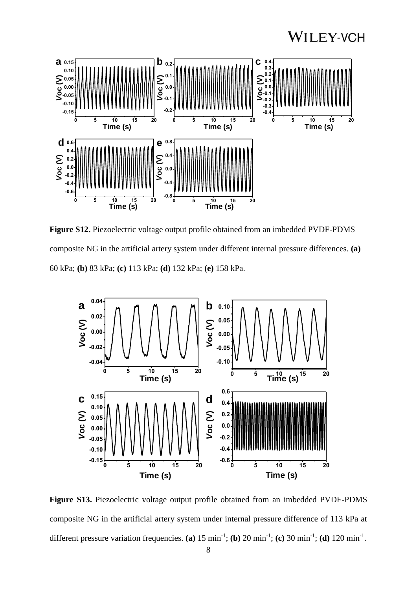

**Figure S12.** Piezoelectric voltage output profile obtained from an imbedded PVDF-PDMS composite NG in the artificial artery system under different internal pressure differences. **(a)** 60 kPa; **(b)** 83 kPa; **(c)** 113 kPa; **(d)** 132 kPa; **(e)** 158 kPa.



**Figure S13.** Piezoelectric voltage output profile obtained from an imbedded PVDF-PDMS composite NG in the artificial artery system under internal pressure difference of 113 kPa at different pressure variation frequencies. (a)  $15 \text{ min}^{-1}$ ; (b)  $20 \text{ min}^{-1}$ ; (c)  $30 \text{ min}^{-1}$ ; (d)  $120 \text{ min}^{-1}$ .